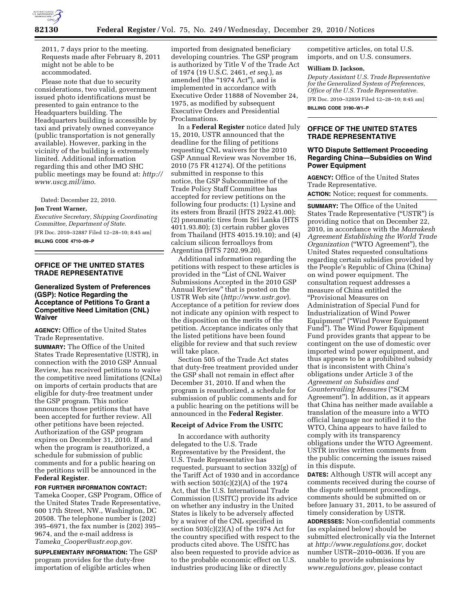

2011, 7 days prior to the meeting. Requests made after February 8, 2011 might not be able to be accommodated.

Please note that due to security considerations, two valid, government issued photo identifications must be presented to gain entrance to the Headquarters building. The Headquarters building is accessible by taxi and privately owned conveyance (public transportation is not generally available). However, parking in the vicinity of the building is extremely limited. Additional information regarding this and other IMO SHC public meetings may be found at: *[http://](http://www.uscg.mil/imo) [www.uscg.mil/imo](http://www.uscg.mil/imo)*.

Dated: December 22, 2010.

### **Jon Trent Warner,**

*Executive Secretary, Shipping Coordinating Committee, Department of State.*  [FR Doc. 2010–32887 Filed 12–28–10; 8:45 am] **BILLING CODE 4710–09–P** 

### **OFFICE OF THE UNITED STATES TRADE REPRESENTATIVE**

# **Generalized System of Preferences (GSP): Notice Regarding the Acceptance of Petitions To Grant a Competitive Need Limitation (CNL) Waiver**

**AGENCY:** Office of the United States Trade Representative.

**SUMMARY:** The Office of the United States Trade Representative (USTR), in connection with the 2010 GSP Annual Review, has received petitions to waive the competitive need limitations (CNLs) on imports of certain products that are eligible for duty-free treatment under the GSP program. This notice announces those petitions that have been accepted for further review. All other petitions have been rejected. Authorization of the GSP program expires on December 31, 2010. If and when the program is reauthorized, a schedule for submission of public comments and for a public hearing on the petitions will be announced in the **Federal Register**.

# **FOR FURTHER INFORMATION CONTACT:**

Tameka Cooper, GSP Program, Office of the United States Trade Representative, 600 17th Street, NW., Washington, DC 20508. The telephone number is (202) 395–6971, the fax number is (202) 395– 9674, and the e-mail address is *Tameka*\_*[Cooper@ustr.eop.gov.](mailto:Tameka_Cooper@ustr.eop.gov)* 

**SUPPLEMENTARY INFORMATION:** The GSP program provides for the duty-free importation of eligible articles when

imported from designated beneficiary developing countries. The GSP program is authorized by Title V of the Trade Act of 1974 (19 U.S.C. 2461, *et seq.*), as amended (the "1974 Act"), and is implemented in accordance with Executive Order 11888 of November 24, 1975, as modified by subsequent Executive Orders and Presidential Proclamations.

In a **Federal Register** notice dated July 15, 2010, USTR announced that the deadline for the filing of petitions requesting CNL waivers for the 2010 GSP Annual Review was November 16, 2010 (75 FR 41274). Of the petitions submitted in response to this notice, the GSP Subcommittee of the Trade Policy Staff Committee has accepted for review petitions on the following four products: (1) Lysine and its esters from Brazil (HTS 2922.41.00); (2) pneumatic tires from Sri Lanka (HTS 4011.93.80); (3) certain rubber gloves from Thailand (HTS 4015.19.10); and (4) calcium silicon ferroalloys from Argentina (HTS 7202.99.20).

Additional information regarding the petitions with respect to these articles is provided in the "List of CNL Waiver Submissions Accepted in the 2010 GSP Annual Review'' that is posted on the USTR Web site (*<http://www.ustr.gov>*). Acceptance of a petition for review does not indicate any opinion with respect to the disposition on the merits of the petition. Acceptance indicates only that the listed petitions have been found eligible for review and that such review will take place.

Section 505 of the Trade Act states that duty-free treatment provided under the GSP shall not remain in effect after December 31, 2010. If and when the program is reauthorized, a schedule for submission of public comments and for a public hearing on the petitions will be announced in the **Federal Register**.

# **Receipt of Advice From the USITC**

In accordance with authority delegated to the U.S. Trade Representative by the President, the U.S. Trade Representative has requested, pursuant to section 332(g) of the Tariff Act of 1930 and in accordance with section  $503(c)(2)(A)$  of the 1974 Act, that the U.S. International Trade Commission (USITC) provide its advice on whether any industry in the United States is likely to be adversely affected by a waiver of the CNL specified in section  $503(c)(2)(A)$  of the 1974 Act for the country specified with respect to the products cited above. The USITC has also been requested to provide advice as to the probable economic effect on U.S. industries producing like or directly

competitive articles, on total U.S. imports, and on U.S. consumers.

#### **William D. Jackson,**

*Deputy Assistant U.S. Trade Representative for the Generalized System of Preferences, Office of the U.S. Trade Representative.* 

[FR Doc. 2010–32859 Filed 12–28–10; 8:45 am] **BILLING CODE 3190–W1–P** 

# **OFFICE OF THE UNITED STATES TRADE REPRESENTATIVE**

### **WTO Dispute Settlement Proceeding Regarding China—Subsidies on Wind Power Equipment**

**AGENCY:** Office of the United States Trade Representative. **ACTION:** Notice; request for comments.

**SUMMARY:** The Office of the United States Trade Representative (''USTR'') is providing notice that on December 22, 2010, in accordance with the *Marrakesh Agreement Establishing the World Trade Organization* (''WTO Agreement''), the United States requested consultations regarding certain subsidies provided by the People's Republic of China (China) on wind power equipment. The consultation request addresses a measure of China entitled the ''Provisional Measures on Administration of Special Fund for Industrialization of Wind Power Equipment'' (''Wind Power Equipment Fund''). The Wind Power Equipment Fund provides grants that appear to be contingent on the use of domestic over imported wind power equipment, and thus appears to be a prohibited subsidy that is inconsistent with China's obligations under Article 3 of the *Agreement on Subsidies and Countervailing Measures* (''SCM Agreement''). In addition, as it appears that China has neither made available a translation of the measure into a WTO official language nor notified it to the WTO, China appears to have failed to comply with its transparency obligations under the WTO Agreement. USTR invites written comments from the public concerning the issues raised in this dispute.

**DATES:** Although USTR will accept any comments received during the course of the dispute settlement proceedings, comments should be submitted on or before January 31, 2011, to be assured of timely consideration by USTR.

**ADDRESSES:** Non-confidential comments (as explained below) should be submitted electronically via the Internet at *[http://www.regulations.gov,](http://www.regulations.gov)* docket number USTR–2010–0036. If you are unable to provide submissions by *[www.regulations.gov](http://www.regulations.gov)*, please contact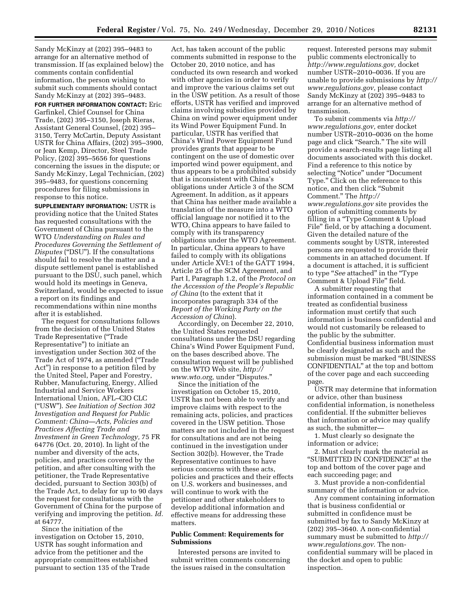Sandy McKinzy at (202) 395–9483 to arrange for an alternative method of transmission. If (as explained below) the comments contain confidential information, the person wishing to submit such comments should contact Sandy McKinzy at (202) 395–9483.

**FOR FURTHER INFORMATION CONTACT:** Eric Garfinkel, Chief Counsel for China Trade, (202) 395–3150, Joseph Rieras, Assistant General Counsel, (202) 395– 3150, Terry McCartin, Deputy Assistant USTR for China Affairs, (202) 395–3900, or Jean Kemp, Director, Steel Trade Policy, (202) 395–5656 for questions concerning the issues in the dispute; or Sandy McKinzy, Legal Technician, (202) 395–9483, for questions concerning procedures for filing submissions in response to this notice.

**SUPPLEMENTARY INFORMATION:** USTR is providing notice that the United States has requested consultations with the Government of China pursuant to the WTO *Understanding on Rules and Procedures Governing the Settlement of Disputes* ("DSU"). If the consultations should fail to resolve the matter and a dispute settlement panel is established pursuant to the DSU, such panel, which would hold its meetings in Geneva, Switzerland, would be expected to issue a report on its findings and recommendations within nine months after it is established.

The request for consultations follows from the decision of the United States Trade Representative (''Trade Representative'') to initiate an investigation under Section 302 of the Trade Act of 1974, as amended (''Trade Act'') in response to a petition filed by the United Steel, Paper and Forestry, Rubber, Manufacturing, Energy, Allied Industrial and Service Workers International Union, AFL–CIO CLC (''USW''). *See Initiation of Section 302 Investigation and Request for Public Comment: China—Acts, Policies and Practices Affecting Trade and Investment in Green Technology,* 75 FR 64776 (Oct. 20, 2010). In light of the number and diversity of the acts, policies, and practices covered by the petition, and after consulting with the petitioner, the Trade Representative decided, pursuant to Section 303(b) of the Trade Act, to delay for up to 90 days the request for consultations with the Government of China for the purpose of verifying and improving the petition. *Id.*  at 64777.

Since the initiation of the investigation on October 15, 2010, USTR has sought information and advice from the petitioner and the appropriate committees established pursuant to section 135 of the Trade

Act, has taken account of the public comments submitted in response to the October 20, 2010 notice, and has conducted its own research and worked with other agencies in order to verify and improve the various claims set out in the USW petition. As a result of those efforts, USTR has verified and improved claims involving subsidies provided by China on wind power equipment under its Wind Power Equipment Fund. In particular, USTR has verified that China's Wind Power Equipment Fund provides grants that appear to be contingent on the use of domestic over imported wind power equipment, and thus appears to be a prohibited subsidy that is inconsistent with China's obligations under Article 3 of the SCM Agreement. In addition, as it appears that China has neither made available a translation of the measure into a WTO official language nor notified it to the WTO, China appears to have failed to comply with its transparency obligations under the WTO Agreement. In particular, China appears to have failed to comply with its obligations under Article XVI:1 of the GATT 1994, Article 25 of the SCM Agreement, and Part I, Paragraph 1.2, of the *Protocol on the Accession of the People's Republic of China* (to the extent that it incorporates paragraph 334 of the *Report of the Working Party on the Accession of China*).

Accordingly, on December 22, 2010, the United States requested consultations under the DSU regarding China's Wind Power Equipment Fund, on the bases described above. The consultation request will be published on the WTO Web site, *[http://](http://www.wto.org)  [www.wto.org,](http://www.wto.org)* under ''Disputes.''

Since the initiation of the investigation on October 15, 2010, USTR has not been able to verify and improve claims with respect to the remaining acts, policies, and practices covered in the USW petition. Those matters are not included in the request for consultations and are not being continued in the investigation under Section 302(b). However, the Trade Representative continues to have serious concerns with these acts, policies and practices and their effects on U.S. workers and businesses, and will continue to work with the petitioner and other stakeholders to develop additional information and effective means for addressing these matters.

### **Public Comment: Requirements for Submissions**

Interested persons are invited to submit written comments concerning the issues raised in the consultation

request. Interested persons may submit public comments electronically to *[http://www.regulations.gov,](http://www.regulations.gov)* docket number USTR–2010–0036. If you are unable to provide submissions by *[http://](http://www.regulations.gov)  [www.regulations.gov,](http://www.regulations.gov)* please contact Sandy McKinzy at (202) 395–9483 to arrange for an alternative method of transmission.

To submit comments via *[http://](http://www.regulations.gov)  [www.regulations.gov,](http://www.regulations.gov)* enter docket number USTR–2010–0036 on the home page and click ''Search.'' The site will provide a search-results page listing all documents associated with this docket. Find a reference to this notice by selecting ''Notice'' under ''Document Type.'' Click on the reference to this notice, and then click ''Submit Comment.'' The *[http://](http://www.regulations.gov)  [www.regulations.gov](http://www.regulations.gov)* site provides the option of submitting comments by filling in a "Type Comment & Upload File'' field, or by attaching a document. Given the detailed nature of the comments sought by USTR, interested persons are requested to provide their comments in an attached document. If a document is attached, it is sufficient to type "*See* attached" in the "Type Comment & Upload File'' field.

A submitter requesting that information contained in a comment be treated as confidential business information must certify that such information is business confidential and would not customarily be released to the public by the submitter. Confidential business information must be clearly designated as such and the submission must be marked ''BUSINESS CONFIDENTIAL'' at the top and bottom of the cover page and each succeeding page.

USTR may determine that information or advice, other than business confidential information, is nonetheless confidential. If the submitter believes that information or advice may qualify as such, the submitter—

1. Must clearly so designate the information or advice;

2. Must clearly mark the material as ''SUBMITTED IN CONFIDENCE'' at the top and bottom of the cover page and each succeeding page; and

3. Must provide a non-confidential summary of the information or advice.

Any comment containing information that is business confidential or submitted in confidence must be submitted by fax to Sandy McKinzy at (202) 395–3640. A non-confidential summary must be submitted to *[http://](http://www.regulations.gov)  [www.regulations.gov](http://www.regulations.gov)*. The nonconfidential summary will be placed in the docket and open to public inspection.